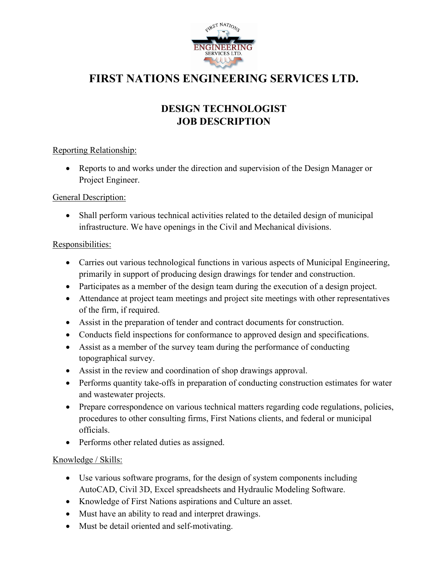

# **FIRST NATIONS ENGINEERING SERVICES LTD.**

## **DESIGN TECHNOLOGIST JOB DESCRIPTION**

#### Reporting Relationship:

• Reports to and works under the direction and supervision of the Design Manager or Project Engineer.

#### General Description:

• Shall perform various technical activities related to the detailed design of municipal infrastructure. We have openings in the Civil and Mechanical divisions.

#### Responsibilities:

- Carries out various technological functions in various aspects of Municipal Engineering, primarily in support of producing design drawings for tender and construction.
- Participates as a member of the design team during the execution of a design project.
- Attendance at project team meetings and project site meetings with other representatives of the firm, if required.
- Assist in the preparation of tender and contract documents for construction.
- Conducts field inspections for conformance to approved design and specifications.
- Assist as a member of the survey team during the performance of conducting topographical survey.
- Assist in the review and coordination of shop drawings approval.
- Performs quantity take-offs in preparation of conducting construction estimates for water and wastewater projects.
- Prepare correspondence on various technical matters regarding code regulations, policies, procedures to other consulting firms, First Nations clients, and federal or municipal officials.
- Performs other related duties as assigned.

### Knowledge / Skills:

- Use various software programs, for the design of system components including AutoCAD, Civil 3D, Excel spreadsheets and Hydraulic Modeling Software.
- Knowledge of First Nations aspirations and Culture an asset.
- Must have an ability to read and interpret drawings.
- Must be detail oriented and self-motivating.